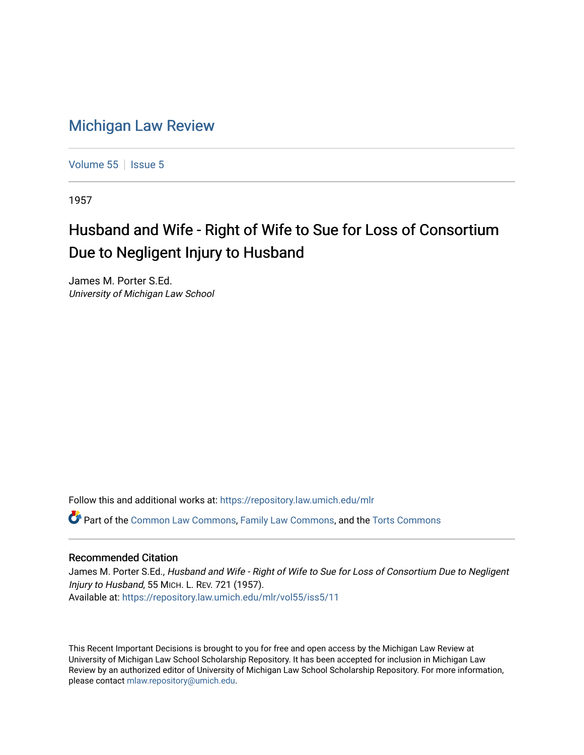## [Michigan Law Review](https://repository.law.umich.edu/mlr)

[Volume 55](https://repository.law.umich.edu/mlr/vol55) | [Issue 5](https://repository.law.umich.edu/mlr/vol55/iss5)

1957

## Husband and Wife - Right of Wife to Sue for Loss of Consortium Due to Negligent Injury to Husband

James M. Porter S.Ed. University of Michigan Law School

Follow this and additional works at: [https://repository.law.umich.edu/mlr](https://repository.law.umich.edu/mlr?utm_source=repository.law.umich.edu%2Fmlr%2Fvol55%2Fiss5%2F11&utm_medium=PDF&utm_campaign=PDFCoverPages) 

Part of the [Common Law Commons,](http://network.bepress.com/hgg/discipline/1120?utm_source=repository.law.umich.edu%2Fmlr%2Fvol55%2Fiss5%2F11&utm_medium=PDF&utm_campaign=PDFCoverPages) [Family Law Commons,](http://network.bepress.com/hgg/discipline/602?utm_source=repository.law.umich.edu%2Fmlr%2Fvol55%2Fiss5%2F11&utm_medium=PDF&utm_campaign=PDFCoverPages) and the [Torts Commons](http://network.bepress.com/hgg/discipline/913?utm_source=repository.law.umich.edu%2Fmlr%2Fvol55%2Fiss5%2F11&utm_medium=PDF&utm_campaign=PDFCoverPages)

## Recommended Citation

James M. Porter S.Ed., Husband and Wife - Right of Wife to Sue for Loss of Consortium Due to Negligent Injury to Husband, 55 MICH. L. REV. 721 (1957). Available at: [https://repository.law.umich.edu/mlr/vol55/iss5/11](https://repository.law.umich.edu/mlr/vol55/iss5/11?utm_source=repository.law.umich.edu%2Fmlr%2Fvol55%2Fiss5%2F11&utm_medium=PDF&utm_campaign=PDFCoverPages) 

This Recent Important Decisions is brought to you for free and open access by the Michigan Law Review at University of Michigan Law School Scholarship Repository. It has been accepted for inclusion in Michigan Law Review by an authorized editor of University of Michigan Law School Scholarship Repository. For more information, please contact [mlaw.repository@umich.edu.](mailto:mlaw.repository@umich.edu)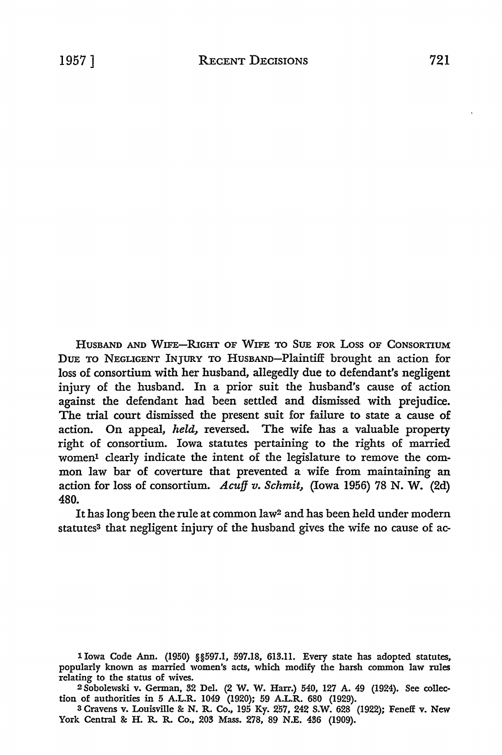HusBAND AND WIFE-RIGHT OF WIFE TO SUE FOR Loss OF CONSORTIUM DUE TO NEGLIGENT INJURY TO HUSBAND-Plaintiff brought an action for loss of consortium with her husband, allegedly due to defendant's negligent injury of the husband. In a prior suit the husband's cause of action against the defendant had been settled and dismissed with prejudice. The trial court dismissed the present suit for failure to state a cause of action. On appeal, *held,* reversed. The wife has a valuable property right of consortium. Iowa statutes pertaining to the rights of married women1 clearly indicate the intent of the legislature to remove the common law bar of coverture that prevented a wife from maintaining an action for loss of consortium. *Acuff v. Schmit,* (Iowa 1956) 78 N. W. (2d) 480.

It has long been the rule at common law2 and has been held under modern statutes<sup>3</sup> that negligent injury of the husband gives the wife no cause of ac-

1 Iowa Code Ann. (1950) §§597.1, 597.18, 613.11. Every state has adopted statutes, popularly known as married women's acts, which modify the harsh common law rules relating to the status of wives.

2 Sobolewski v. German, 32 Del. (2 W. W. Harr.) 540, 127 A. 49 (1924). See collection of authorities in 5 A.L.R. 1049 (1920); 59 A.L.R. 680 (1929).

3 Cravens v. Louisville & N. R. Co., 195 Ky. 257, 242 S.W. 628 (1922); Feneff v. New York Central & H. R. R. Co., 203 Mass. 278, 89 N.E. 436 (1909).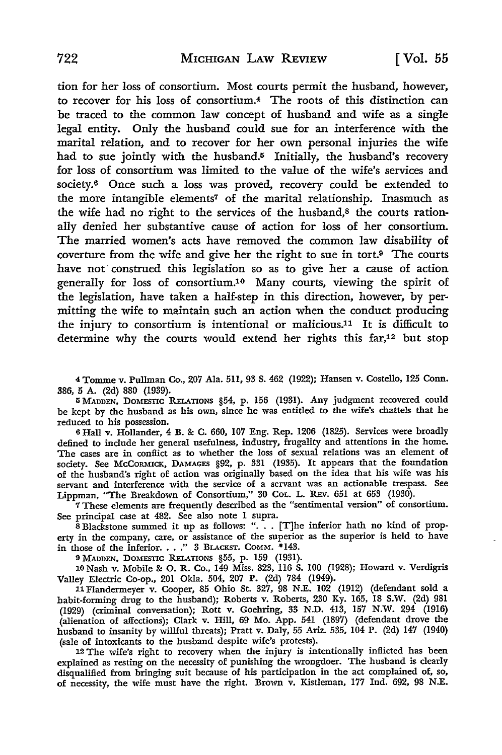tion for her loss of consortium. Most courts permit the husband, however, to recover for his loss of consortium.4 The roots of this distinction can be traced to the common law concept of husband and wife as a single legal entity. Only the husband could sue for an interference with the marital relation, and to recover for her own personal injuries the wife had to sue jointly with the husband.<sup>5</sup> Initially, the husband's recovery for loss of consortium was limited to the value of the wife's services and society.<sup>6</sup> Once such a loss was proved, recovery could be extended to the more intangible elements7 of the marital relationship. Inasmuch as the wife had no right to the services of the husband,<sup>8</sup> the courts rationally denied her substantive cause of action for loss of her consortium. The married women's acts have removed the common law disability of coverture from the wife and give her the right to sue in tort.9 The courts have not construed this legislation so as to give her a cause of action generally for loss of consortium.10 Many courts, viewing the spirit of the legislation, have taken a half-step in this direction, however, by permitting the wife to maintain such an action when the conduct producing the injury to consortium is intentional or malicious.11 It is difficult to determine why the courts would extend her rights this far,<sup>12</sup> but stop

4 Tomme v. Pullman Co., 207 Ala. 511, 93 S. 462 (1922); Hansen v. Costello, 125 Conn. 386, 5 A. (2d) 880 (1939).

5 MADDEN, DOMESTIC RELATIONS §54, p. 156 (1931). Any judgment recovered could be kept by the husband as his own, since he was entitled to the wife's chattels that he reduced to his possession.

<sup>6</sup>Hall v. Hollander, 4 B. & C. 660, 107 Eng. Rep. 1206 (1825). Services were broadly defined to include her general usefulness, industry, frugality and attentions in the home. The cases are in conflict as to whether the loss of sexual relations was an element of society. See McCORMICK, DAMAGES §92, p. 331 (1935). It appears that the foundation of the husband's right of action was originally based on the idea that his wife was his servant and interference with the service of a servant was an actionable trespass. See Lippman, "The Breakdown of Consortium," 30 Cot. L. REv. 651 at 653 (1930).

7 These elements are frequently described as the "sentimental version" of consortium. See principal case at 482. See also note I supra.

 $\hat{\mathbf{S}}$  Blackstone summed it up as follows: ". . [T]he inferior hath no kind of property in the company, care, or assistance of the superior as the superior is held to have in those of the inferior. . . . " 3 BLACKST. COMM. \*143.

<sup>9</sup>MADDEN, DOMESTIC RELATIONS §55, p. 159 (1931). 10 Nash v. Mobile & 0. R. Co., 149 Miss. 823, 116 S. 100 (1928); Howard v. Verdigris Valley Electric Co-op., 201 Okla. 504, 207 P. (2d) 784 (1949).

11 Flandermeyer v. Cooper, 85 Ohio St. 327, 98 N.E. 102 (1912) (defendant sold a habit-forming drug to the husband); Roberts v. Roberts, 230 Ky. 165, 18 S.W. (2d) 981 (1929) (criminal conversation); Rott v. Goehring, 33 N.D. 413, 157 N.W. 294 (1916) (alienation of affections); Clark v. Hill, 69 Mo. App. 541 (1897) (defendant drove the husband to insanity by willful threats); Pratt v. Daly, 55 Ariz. 535, 104 P. (2d) 147 (1940) (sale of intoxicants to the husband despite wife's protests).

12 The wife's right to recovery when the injury is intentionally inflicted has been explained as resting on the necessity of punishing the wrongdoer. The husband is clearly disqualified from bringing suit because of his participation in the act complained of, so, of necessity, the wife must have the right. Brown v. Kistleman, 177 Ind. 692, 98 N.E.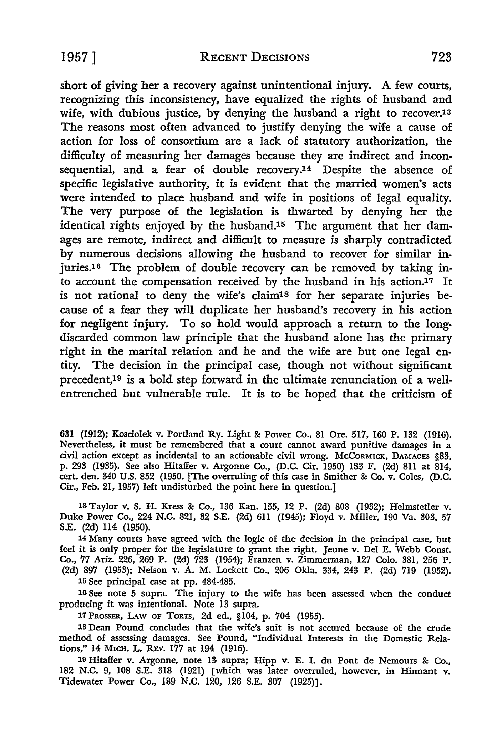short of giving her a recovery against unintentional injury. A few courts, recognizing this inconsistency, have equalized the rights of husband and wife, with dubious justice, by denying the husband a right to recover.<sup>13</sup> The reasons most often advanced to justify denying the wife a cause of action for loss of consortium are a lack of statutory authorization, the difficulty of measuring her damages because they are indirect and inconsequential, and a fear of double recovery.<sup>14</sup> Despite the absence of specific legislative authority, it is evident that the married women's acts were intended to place husband and wife in positions of legal equality. The very purpose of the legislation is thwarted by denying her the identical rights enjoyed by the husband.15 The argument that her damages are remote, indirect and difficult to measure is sharply contradicted by numerous decisions allowing the husband to recover for similar injuries.16 The problem of double recovery can be removed by taking into account the compensation received by the husband in his action.<sup>17</sup> It is not rational to deny the wife's claim<sup>18</sup> for her separate injuries because of a fear they will duplicate her husband's recovery in his action for negligent injury. To so hold would approach a return to the longdiscarded common law principle that the husband alone has the primary right in the marital relation and he and the wife are but one legal entity. The decision in the principal case, though not without significant precedent,19 is a bold step forward in the ultimate renunciation of a wellentrenched but vulnerable rule. It is to be hoped that the criticism of

631 (1912); Kosciolek v. Portland Ry. Light & Power Co., 81 Ore. 517, 160 P. 132 (1916). Nevertheless, it must be remembered that a court cannot award punitive damages in a civil action except as incidental to an actionable civil wrong. McCORMICK, DAMAGES §83, p. 293 (1935). See also Hitaffer v. Argonne Co., (D.C. Cir. 1950) 183 F. (2d) 811 at 814, cert. den. 340 U.S. 852 (1950. [The overruling of this case in Smither & Co. v. Coles, (D.C. Cir., Feb. 21, 1957) left undisturbed the point here in question.]

13 Taylor v. S. H. Kress & Co., 136 Kan. 155, 12 P. (2d) 808 (1932); Helmstetler v. Duke Power Co., 224 N.C. 821, 32 S.E. (2d) 611 (1945); Floyd v. Miller, 190 Va. 303, 57 S.E. (2d) 114 (1950).

14 Many courts have agreed with the logic of the decision in the principal case, but feel it is only proper for the legislature to grant the right. Jeune v. Del E. Webb Const. Co., 77 Ariz. 226, 269 P. (2d) 723 (1954); Franzen v. Zimmerman, 127 Colo. 381, 256 P. (2d) 897 (1953); Nelson v. A. M. Lockett Co., 206 Okla. 334, 243 P. (2d) 719 (1952).

15 See principal case at pp. 484-485.

16 See note 5 supra. The injury to the wife has been assessed when the conduct producing it was intentional. Note 13 supra.

17 PROSSER, LAw OF TORTS, 2d ed., §104, p. 704 (1955).

18 Dean Pound concludes that the wife's suit is not secured because of the crude method of assessing damages. See Pound, "Individual Interests in the Domestic Relations," 14 MICH. L. REV. 177 at 194 (1916).

19 Hitaffer v. Argonne, note 13 supra; Hipp v. E. I. du Pont de Nemours & Co., 182 N.C. 9, 108 S.E. 318 (1921) [which was later overruled, however, in Hinnant v. Tidewater Power Co., 189 N.C. 120, 126 S.E. 307 (1925)].